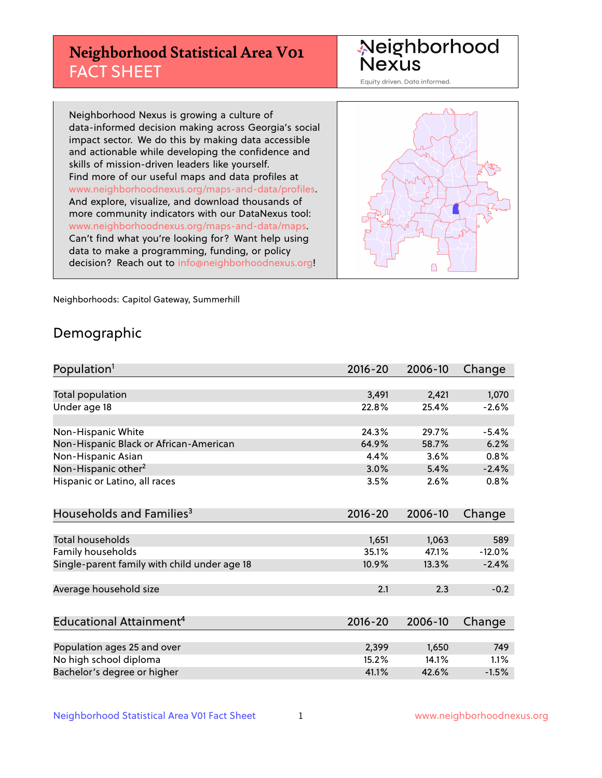## **Neighborhood Statistical Area V01** FACT SHEET

Neighborhood Nexus

Equity driven. Data informed.

Neighborhood Nexus is growing a culture of data-informed decision making across Georgia's social impact sector. We do this by making data accessible and actionable while developing the confidence and skills of mission-driven leaders like yourself. Find more of our useful maps and data profiles at www.neighborhoodnexus.org/maps-and-data/profiles. And explore, visualize, and download thousands of more community indicators with our DataNexus tool: www.neighborhoodnexus.org/maps-and-data/maps. Can't find what you're looking for? Want help using data to make a programming, funding, or policy decision? Reach out to [info@neighborhoodnexus.org!](mailto:info@neighborhoodnexus.org)



Neighborhoods: Capitol Gateway, Summerhill

### Demographic

| Population <sup>1</sup>                      | $2016 - 20$ | 2006-10 | Change   |
|----------------------------------------------|-------------|---------|----------|
|                                              |             |         |          |
| Total population                             | 3,491       | 2,421   | 1,070    |
| Under age 18                                 | 22.8%       | 25.4%   | $-2.6%$  |
|                                              |             |         |          |
| Non-Hispanic White                           | 24.3%       | 29.7%   | $-5.4%$  |
| Non-Hispanic Black or African-American       | 64.9%       | 58.7%   | 6.2%     |
| Non-Hispanic Asian                           | 4.4%        | 3.6%    | 0.8%     |
| Non-Hispanic other <sup>2</sup>              | 3.0%        | 5.4%    | $-2.4%$  |
| Hispanic or Latino, all races                | 3.5%        | 2.6%    | 0.8%     |
|                                              |             |         |          |
| Households and Families <sup>3</sup>         | 2016-20     | 2006-10 | Change   |
|                                              |             |         |          |
| Total households                             | 1,651       | 1,063   | 589      |
| Family households                            | 35.1%       | 47.1%   | $-12.0%$ |
| Single-parent family with child under age 18 | 10.9%       | 13.3%   | $-2.4%$  |
|                                              |             |         |          |
| Average household size                       | 2.1         | 2.3     | $-0.2$   |
|                                              |             |         |          |
| Educational Attainment <sup>4</sup>          | 2016-20     | 2006-10 | Change   |
|                                              |             |         |          |
| Population ages 25 and over                  | 2,399       | 1,650   | 749      |
| No high school diploma                       | 15.2%       | 14.1%   | 1.1%     |
| Bachelor's degree or higher                  | 41.1%       | 42.6%   | $-1.5%$  |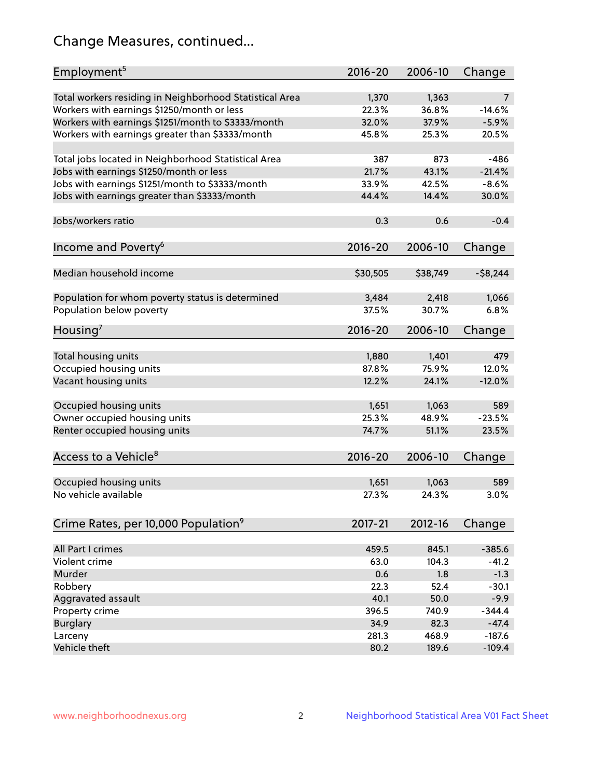## Change Measures, continued...

| Employment <sup>5</sup>                                                                               | $2016 - 20$    | 2006-10        | Change                     |
|-------------------------------------------------------------------------------------------------------|----------------|----------------|----------------------------|
|                                                                                                       |                |                |                            |
| Total workers residing in Neighborhood Statistical Area<br>Workers with earnings \$1250/month or less | 1,370<br>22.3% | 1,363<br>36.8% | $\overline{7}$<br>$-14.6%$ |
|                                                                                                       | 32.0%          | 37.9%          | $-5.9%$                    |
| Workers with earnings \$1251/month to \$3333/month<br>Workers with earnings greater than \$3333/month | 45.8%          | 25.3%          | 20.5%                      |
|                                                                                                       |                |                |                            |
| Total jobs located in Neighborhood Statistical Area                                                   | 387            | 873            | $-486$                     |
| Jobs with earnings \$1250/month or less                                                               | 21.7%          | 43.1%          | $-21.4%$                   |
| Jobs with earnings \$1251/month to \$3333/month                                                       | 33.9%          | 42.5%          | $-8.6%$                    |
| Jobs with earnings greater than \$3333/month                                                          | 44.4%          | 14.4%          | 30.0%                      |
|                                                                                                       |                |                |                            |
| Jobs/workers ratio                                                                                    | 0.3            | 0.6            | $-0.4$                     |
|                                                                                                       |                |                |                            |
| Income and Poverty <sup>6</sup>                                                                       | $2016 - 20$    | 2006-10        | Change                     |
|                                                                                                       |                |                |                            |
| Median household income                                                                               | \$30,505       | \$38,749       | $-58,244$                  |
|                                                                                                       |                |                |                            |
| Population for whom poverty status is determined                                                      | 3,484          | 2,418          | 1,066                      |
| Population below poverty                                                                              | 37.5%          | 30.7%          | 6.8%                       |
| Housing'                                                                                              | $2016 - 20$    | 2006-10        | Change                     |
|                                                                                                       |                |                |                            |
| Total housing units                                                                                   | 1,880          | 1,401          | 479                        |
| Occupied housing units                                                                                | 87.8%          | 75.9%          | 12.0%                      |
| Vacant housing units                                                                                  | 12.2%          | 24.1%          | $-12.0%$                   |
|                                                                                                       |                |                |                            |
| Occupied housing units                                                                                | 1,651          | 1,063          | 589                        |
| Owner occupied housing units                                                                          | 25.3%          | 48.9%          | $-23.5%$                   |
| Renter occupied housing units                                                                         | 74.7%          | 51.1%          | 23.5%                      |
|                                                                                                       |                |                |                            |
| Access to a Vehicle <sup>8</sup>                                                                      | $2016 - 20$    | 2006-10        | Change                     |
|                                                                                                       |                |                |                            |
| Occupied housing units                                                                                | 1,651          | 1,063          | 589                        |
| No vehicle available                                                                                  | 27.3%          | 24.3%          | 3.0%                       |
| Crime Rates, per 10,000 Population <sup>9</sup>                                                       | 2017-21        | 2012-16        |                            |
|                                                                                                       |                |                | Change                     |
| All Part I crimes                                                                                     | 459.5          | 845.1          | $-385.6$                   |
| Violent crime                                                                                         | 63.0           | 104.3          | $-41.2$                    |
| Murder                                                                                                | 0.6            | 1.8            | $-1.3$                     |
| Robbery                                                                                               | 22.3           | 52.4           | $-30.1$                    |
| Aggravated assault                                                                                    | 40.1           | 50.0           | $-9.9$                     |
| Property crime                                                                                        | 396.5          | 740.9          | $-344.4$                   |
| <b>Burglary</b>                                                                                       | 34.9           | 82.3           | $-47.4$                    |
| Larceny                                                                                               | 281.3          | 468.9          | $-187.6$                   |
| Vehicle theft                                                                                         | 80.2           | 189.6          | $-109.4$                   |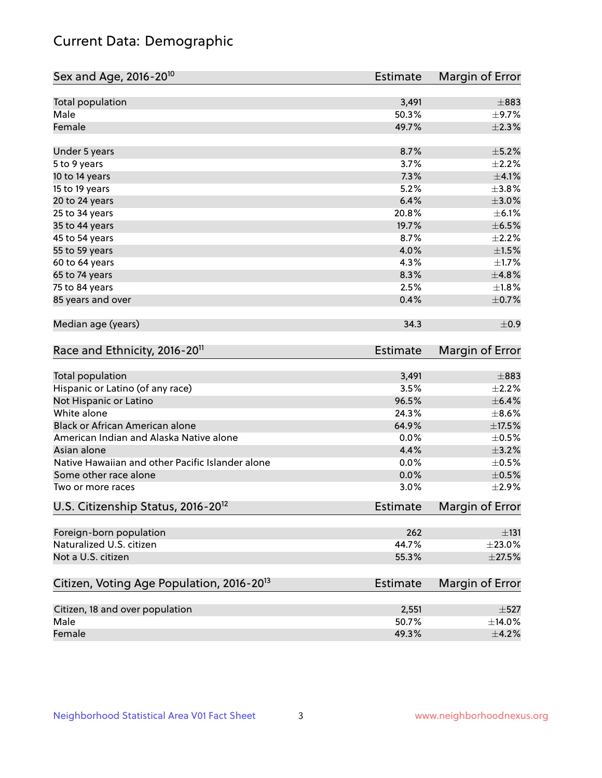## Current Data: Demographic

| Sex and Age, 2016-20 <sup>10</sup>                    | <b>Estimate</b> | Margin of Error |
|-------------------------------------------------------|-----------------|-----------------|
| Total population                                      | 3,491           | $\pm$ 883       |
| Male                                                  | 50.3%           | $\pm$ 9.7%      |
| Female                                                | 49.7%           | $\pm 2.3\%$     |
| Under 5 years                                         | 8.7%            | $\pm$ 5.2%      |
| 5 to 9 years                                          | 3.7%            | $\pm 2.2\%$     |
| 10 to 14 years                                        | 7.3%            | $\pm$ 4.1%      |
| 15 to 19 years                                        | 5.2%            | $\pm$ 3.8%      |
| 20 to 24 years                                        | 6.4%            | $\pm 3.0\%$     |
| 25 to 34 years                                        | 20.8%           | $\pm$ 6.1%      |
| 35 to 44 years                                        | 19.7%           | $\pm$ 6.5%      |
| 45 to 54 years                                        | 8.7%            | $\pm 2.2\%$     |
| 55 to 59 years                                        | 4.0%            | $\pm1.5\%$      |
| 60 to 64 years                                        | 4.3%            | $\pm1.7\%$      |
| 65 to 74 years                                        | 8.3%            | ±4.8%           |
| 75 to 84 years                                        | 2.5%            | ±1.8%           |
| 85 years and over                                     | 0.4%            | $\pm$ 0.7%      |
| Median age (years)                                    | 34.3            | ±0.9            |
| Race and Ethnicity, 2016-20 <sup>11</sup>             | <b>Estimate</b> | Margin of Error |
| Total population                                      | 3,491           | $\pm$ 883       |
| Hispanic or Latino (of any race)                      | 3.5%            | $\pm 2.2\%$     |
| Not Hispanic or Latino                                | 96.5%           | $\pm$ 6.4%      |
| White alone                                           | 24.3%           | $\pm$ 8.6%      |
| Black or African American alone                       | 64.9%           | $\pm$ 17.5%     |
| American Indian and Alaska Native alone               | 0.0%            | $\pm$ 0.5%      |
| Asian alone                                           | 4.4%            | $\pm$ 3.2%      |
| Native Hawaiian and other Pacific Islander alone      | 0.0%            | $\pm$ 0.5%      |
| Some other race alone                                 | 0.0%            | $\pm$ 0.5%      |
| Two or more races                                     | 3.0%            | ±2.9%           |
| U.S. Citizenship Status, 2016-20 <sup>12</sup>        | <b>Estimate</b> | Margin of Error |
| Foreign-born population                               | 262             | $\pm$ 131       |
| Naturalized U.S. citizen                              | 44.7%           | $\pm 23.0\%$    |
| Not a U.S. citizen                                    | 55.3%           | $\pm 27.5\%$    |
| Citizen, Voting Age Population, 2016-20 <sup>13</sup> | Estimate        | Margin of Error |
| Citizen, 18 and over population                       | 2,551           | $\pm$ 527       |
| Male                                                  | 50.7%           | $\pm$ 14.0%     |
| Female                                                | 49.3%           | $\pm$ 4.2%      |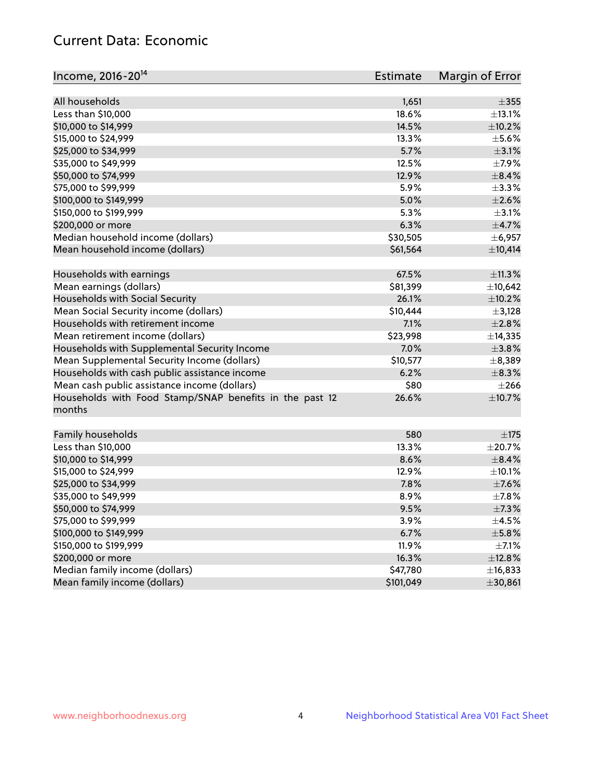## Current Data: Economic

| Income, 2016-20 <sup>14</sup>                                                                 | Estimate  | Margin of Error |
|-----------------------------------------------------------------------------------------------|-----------|-----------------|
|                                                                                               |           |                 |
| All households                                                                                | 1,651     | $\pm 355$       |
| Less than \$10,000                                                                            | 18.6%     | ±13.1%          |
| \$10,000 to \$14,999                                                                          | 14.5%     | $\pm$ 10.2%     |
| \$15,000 to \$24,999                                                                          | 13.3%     | $\pm$ 5.6%      |
| \$25,000 to \$34,999                                                                          | 5.7%      | $\pm$ 3.1%      |
| \$35,000 to \$49,999                                                                          | 12.5%     | $\pm$ 7.9%      |
| \$50,000 to \$74,999                                                                          | 12.9%     | $\pm$ 8.4%      |
| \$75,000 to \$99,999                                                                          | 5.9%      | ±3.3%           |
| \$100,000 to \$149,999                                                                        | 5.0%      | $\pm 2.6\%$     |
| \$150,000 to \$199,999                                                                        | 5.3%      | $\pm$ 3.1%      |
| \$200,000 or more                                                                             | 6.3%      | $\pm$ 4.7%      |
| Median household income (dollars)                                                             | \$30,505  | $\pm$ 6,957     |
| Mean household income (dollars)                                                               | \$61,564  | ±10,414         |
| Households with earnings                                                                      | 67.5%     | ±11.3%          |
| Mean earnings (dollars)                                                                       | \$81,399  | ±10,642         |
| Households with Social Security                                                               | 26.1%     | $\pm$ 10.2%     |
| Mean Social Security income (dollars)                                                         | \$10,444  | $\pm$ 3,128     |
| Households with retirement income                                                             | 7.1%      | $\pm 2.8\%$     |
| Mean retirement income (dollars)                                                              | \$23,998  | ±14,335         |
| Households with Supplemental Security Income                                                  | 7.0%      | ±3.8%           |
| Mean Supplemental Security Income (dollars)                                                   | \$10,577  | ±8,389          |
|                                                                                               | 6.2%      | $\pm$ 8.3%      |
| Households with cash public assistance income<br>Mean cash public assistance income (dollars) | \$80      | $\pm 266$       |
|                                                                                               |           |                 |
| Households with Food Stamp/SNAP benefits in the past 12<br>months                             | 26.6%     | ±10.7%          |
| Family households                                                                             | 580       | ±175            |
| Less than \$10,000                                                                            | 13.3%     | $\pm 20.7\%$    |
| \$10,000 to \$14,999                                                                          | 8.6%      | $\pm$ 8.4%      |
|                                                                                               | 12.9%     |                 |
| \$15,000 to \$24,999                                                                          |           | $\pm$ 10.1%     |
| \$25,000 to \$34,999                                                                          | 7.8%      | $\pm$ 7.6%      |
| \$35,000 to \$49,999                                                                          | 8.9%      | $\pm$ 7.8%      |
| \$50,000 to \$74,999                                                                          | 9.5%      | ±7.3%           |
| \$75,000 to \$99,999                                                                          | 3.9%      | $\pm$ 4.5%      |
| \$100,000 to \$149,999                                                                        | 6.7%      | $\pm$ 5.8%      |
| \$150,000 to \$199,999                                                                        | 11.9%     | $\pm$ 7.1%      |
| \$200,000 or more                                                                             | 16.3%     | ±12.8%          |
| Median family income (dollars)                                                                | \$47,780  | ±16,833         |
| Mean family income (dollars)                                                                  | \$101,049 | ±30,861         |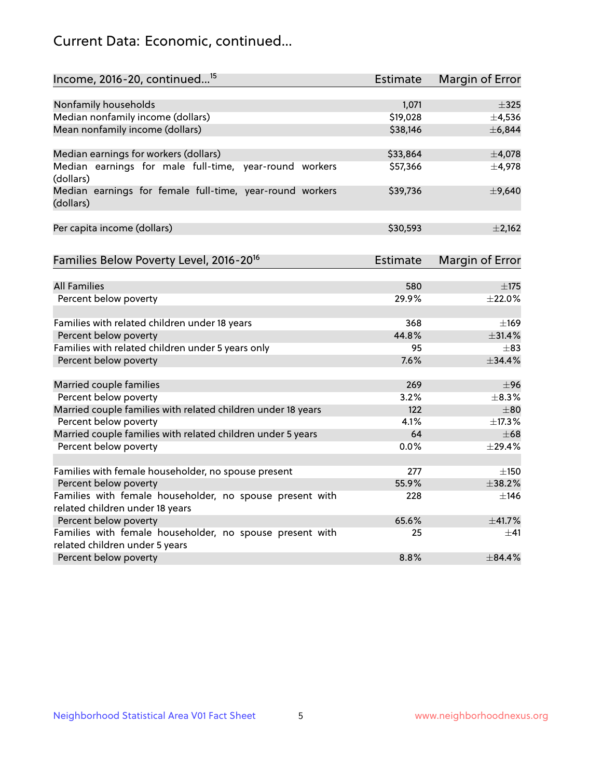## Current Data: Economic, continued...

| Income, 2016-20, continued <sup>15</sup>                              | <b>Estimate</b> | Margin of Error |
|-----------------------------------------------------------------------|-----------------|-----------------|
|                                                                       |                 |                 |
| Nonfamily households                                                  | 1,071           | $\pm$ 325       |
| Median nonfamily income (dollars)                                     | \$19,028        | $\pm$ 4,536     |
| Mean nonfamily income (dollars)                                       | \$38,146        | ±6,844          |
| Median earnings for workers (dollars)                                 | \$33,864        | ±4,078          |
| Median earnings for male full-time, year-round workers<br>(dollars)   | \$57,366        | $\pm$ 4,978     |
| Median earnings for female full-time, year-round workers<br>(dollars) | \$39,736        | ±9,640          |
| Per capita income (dollars)                                           | \$30,593        | $\pm$ 2,162     |
| Families Below Poverty Level, 2016-20 <sup>16</sup>                   | <b>Estimate</b> | Margin of Error |
|                                                                       |                 |                 |
| <b>All Families</b>                                                   | 580             | ±175            |
| Percent below poverty                                                 | 29.9%           | ±22.0%          |
| Families with related children under 18 years                         | 368             | $\pm 169$       |
| Percent below poverty                                                 | 44.8%           | ±31.4%          |
| Families with related children under 5 years only                     | 95              | $\pm$ 83        |
| Percent below poverty                                                 | 7.6%            | ±34.4%          |
| Married couple families                                               | 269             | ±96             |
| Percent below poverty                                                 | 3.2%            | $\pm$ 8.3%      |
| Married couple families with related children under 18 years          | 122             | $\pm$ 80        |
| Percent below poverty                                                 | 4.1%            | ±17.3%          |
| Married couple families with related children under 5 years           | 64              | $\pm 68$        |
| Percent below poverty                                                 | $0.0\%$         | ±29.4%          |
| Families with female householder, no spouse present                   | 277             | $\pm$ 150       |
| Percent below poverty                                                 | 55.9%           | ±38.2%          |
| Families with female householder, no spouse present with              | 228             | ±146            |
| related children under 18 years                                       |                 |                 |
| Percent below poverty                                                 | 65.6%           | ±41.7%          |
| Families with female householder, no spouse present with              | 25              | $\pm$ 41        |
| related children under 5 years                                        |                 |                 |
| Percent below poverty                                                 | 8.8%            | ±84.4%          |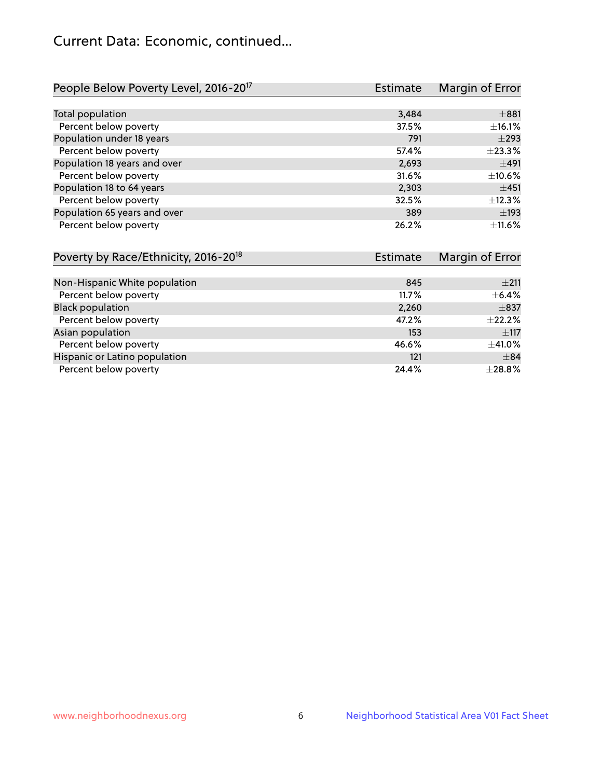## Current Data: Economic, continued...

| People Below Poverty Level, 2016-20 <sup>17</sup> | <b>Estimate</b> | Margin of Error |
|---------------------------------------------------|-----------------|-----------------|
|                                                   |                 |                 |
| Total population                                  | 3,484           | $\pm$ 881       |
| Percent below poverty                             | 37.5%           | ±16.1%          |
| Population under 18 years                         | 791             | $\pm$ 293       |
| Percent below poverty                             | 57.4%           | ±23.3%          |
| Population 18 years and over                      | 2,693           | ±491            |
| Percent below poverty                             | 31.6%           | ±10.6%          |
| Population 18 to 64 years                         | 2,303           | ±451            |
| Percent below poverty                             | 32.5%           | ±12.3%          |
| Population 65 years and over                      | 389             | $\pm$ 193       |
| Percent below poverty                             | 26.2%           | $\pm$ 11.6%     |

| Poverty by Race/Ethnicity, 2016-20 <sup>18</sup><br>Estimate |       | Margin of Error |
|--------------------------------------------------------------|-------|-----------------|
|                                                              |       |                 |
| Non-Hispanic White population                                | 845   | $\pm 211$       |
| Percent below poverty                                        | 11.7% | $\pm$ 6.4%      |
| <b>Black population</b>                                      | 2,260 | $\pm$ 837       |
| Percent below poverty                                        | 47.2% | $\pm$ 22.2%     |
| Asian population                                             | 153   | $\pm$ 117       |
| Percent below poverty                                        | 46.6% | $\pm$ 41.0%     |
| Hispanic or Latino population                                | 121   | $\pm$ 84        |
| Percent below poverty                                        | 24.4% | ±28.8%          |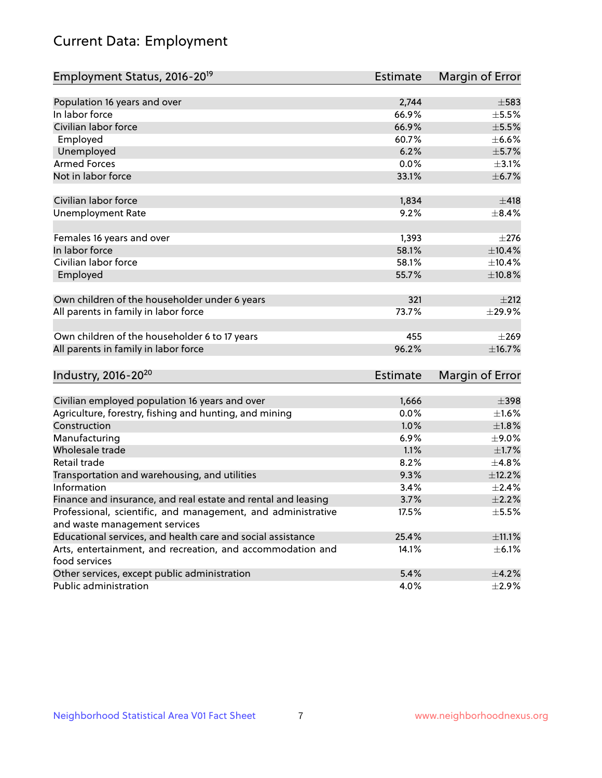# Current Data: Employment

| Employment Status, 2016-20 <sup>19</sup>                      | <b>Estimate</b> | Margin of Error |
|---------------------------------------------------------------|-----------------|-----------------|
|                                                               |                 |                 |
| Population 16 years and over                                  | 2,744           | $\pm$ 583       |
| In labor force                                                | 66.9%           | $\pm$ 5.5%      |
| Civilian labor force                                          | 66.9%           | $\pm$ 5.5%      |
| Employed                                                      | 60.7%           | $\pm$ 6.6%      |
| Unemployed                                                    | 6.2%            | $\pm$ 5.7%      |
| <b>Armed Forces</b>                                           | 0.0%            | $\pm$ 3.1%      |
| Not in labor force                                            | 33.1%           | ±6.7%           |
| Civilian labor force                                          | 1,834           | ±418            |
| <b>Unemployment Rate</b>                                      | 9.2%            | $\pm$ 8.4%      |
|                                                               |                 |                 |
| Females 16 years and over                                     | 1,393           | ±276            |
| In labor force                                                | 58.1%           | $\pm$ 10.4%     |
| Civilian labor force                                          | 58.1%           | $\pm$ 10.4%     |
| Employed                                                      | 55.7%           | ±10.8%          |
|                                                               |                 |                 |
| Own children of the householder under 6 years                 | 321             | ±212            |
| All parents in family in labor force                          | 73.7%           | $\pm$ 29.9%     |
|                                                               |                 |                 |
| Own children of the householder 6 to 17 years                 | 455             | $\pm 269$       |
| All parents in family in labor force                          | 96.2%           | ±16.7%          |
|                                                               |                 |                 |
| Industry, 2016-20 <sup>20</sup>                               | <b>Estimate</b> | Margin of Error |
|                                                               |                 |                 |
| Civilian employed population 16 years and over                | 1,666           | $\pm$ 398       |
| Agriculture, forestry, fishing and hunting, and mining        | 0.0%            | $\pm 1.6\%$     |
| Construction                                                  | 1.0%            | $\pm1.8\%$      |
| Manufacturing                                                 | 6.9%            | $\pm$ 9.0%      |
| Wholesale trade                                               | 1.1%            | $\pm1.7\%$      |
| Retail trade                                                  | 8.2%            | ±4.8%           |
| Transportation and warehousing, and utilities                 | 9.3%            | ±12.2%          |
| Information                                                   | 3.4%            | $\pm 2.4\%$     |
| Finance and insurance, and real estate and rental and leasing | 3.7%            | $\pm 2.2\%$     |
| Professional, scientific, and management, and administrative  | 17.5%           | $\pm$ 5.5%      |
| and waste management services                                 |                 |                 |
| Educational services, and health care and social assistance   | 25.4%           | $\pm$ 11.1%     |
| Arts, entertainment, and recreation, and accommodation and    | 14.1%           | $\pm$ 6.1%      |
| food services                                                 |                 |                 |
| Other services, except public administration                  | 5.4%            | $\pm$ 4.2%      |
| Public administration                                         | 4.0%            | $\pm 2.9\%$     |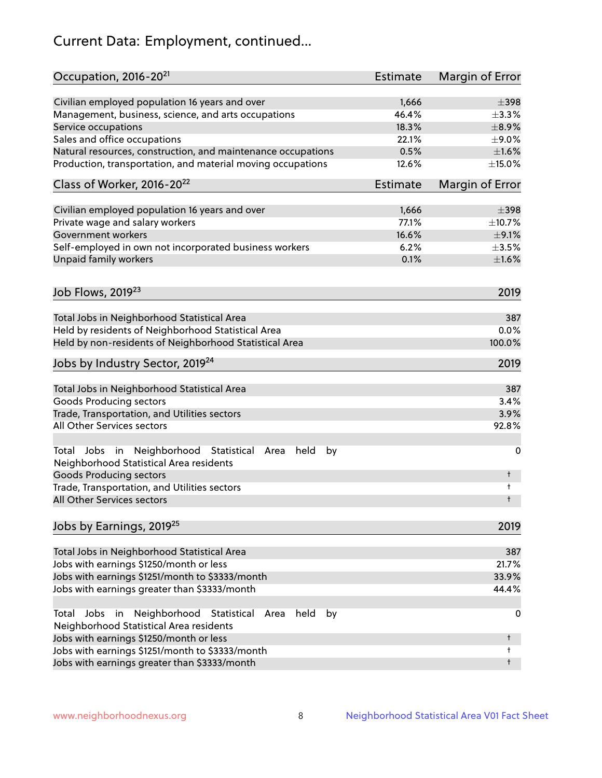# Current Data: Employment, continued...

| Occupation, 2016-20 <sup>21</sup>                                                                    | Estimate        | Margin of Error |
|------------------------------------------------------------------------------------------------------|-----------------|-----------------|
| Civilian employed population 16 years and over                                                       | 1,666           | $\pm$ 398       |
| Management, business, science, and arts occupations                                                  | 46.4%           | $\pm$ 3.3%      |
| Service occupations                                                                                  | 18.3%           | $\pm$ 8.9%      |
| Sales and office occupations                                                                         | 22.1%           | $\pm$ 9.0%      |
| Natural resources, construction, and maintenance occupations                                         | 0.5%            | $\pm1.6\%$      |
| Production, transportation, and material moving occupations                                          | 12.6%           | $\pm$ 15.0%     |
| Class of Worker, 2016-20 <sup>22</sup>                                                               | <b>Estimate</b> | Margin of Error |
| Civilian employed population 16 years and over                                                       | 1,666           | $\pm$ 398       |
| Private wage and salary workers                                                                      | 77.1%           | ±10.7%          |
| Government workers                                                                                   | 16.6%           | $\pm$ 9.1%      |
| Self-employed in own not incorporated business workers                                               | 6.2%            | $\pm 3.5\%$     |
| Unpaid family workers                                                                                | 0.1%            | $\pm1.6\%$      |
| Job Flows, 2019 <sup>23</sup>                                                                        |                 | 2019            |
|                                                                                                      |                 |                 |
| Total Jobs in Neighborhood Statistical Area<br>Held by residents of Neighborhood Statistical Area    |                 | 387<br>0.0%     |
|                                                                                                      |                 | 100.0%          |
| Held by non-residents of Neighborhood Statistical Area                                               |                 |                 |
| Jobs by Industry Sector, 2019 <sup>24</sup>                                                          |                 | 2019            |
| Total Jobs in Neighborhood Statistical Area                                                          |                 | 387             |
| <b>Goods Producing sectors</b>                                                                       |                 | 3.4%            |
| Trade, Transportation, and Utilities sectors                                                         |                 | 3.9%            |
| All Other Services sectors                                                                           |                 | 92.8%           |
| Total Jobs in Neighborhood Statistical Area<br>held<br>by<br>Neighborhood Statistical Area residents |                 | 0               |
| <b>Goods Producing sectors</b>                                                                       |                 | t               |
| Trade, Transportation, and Utilities sectors<br>All Other Services sectors                           |                 | t<br>t          |
|                                                                                                      |                 |                 |
| Jobs by Earnings, 2019 <sup>25</sup>                                                                 |                 | 2019            |
| Total Jobs in Neighborhood Statistical Area                                                          |                 | 387             |
| Jobs with earnings \$1250/month or less                                                              |                 | 21.7%           |
| Jobs with earnings \$1251/month to \$3333/month                                                      |                 | 33.9%           |
| Jobs with earnings greater than \$3333/month                                                         |                 | 44.4%           |
| Neighborhood Statistical<br>Jobs<br>in<br>held<br>by<br>Total<br>Area                                |                 | 0               |
| Neighborhood Statistical Area residents                                                              |                 |                 |
| Jobs with earnings \$1250/month or less                                                              |                 | t               |
| Jobs with earnings \$1251/month to \$3333/month                                                      |                 | t               |
| Jobs with earnings greater than \$3333/month                                                         |                 | t               |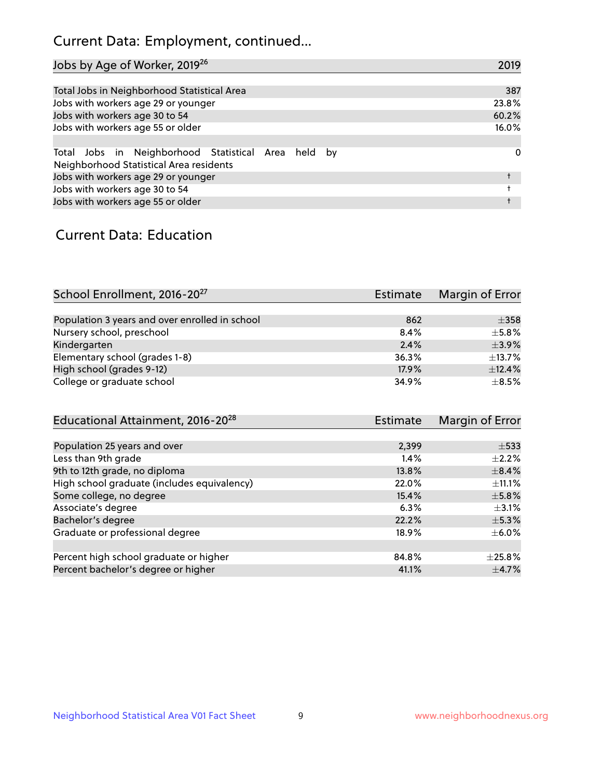## Current Data: Employment, continued...

| Jobs by Age of Worker, 2019 <sup>26</sup>                                                      | 2019  |
|------------------------------------------------------------------------------------------------|-------|
|                                                                                                |       |
| Total Jobs in Neighborhood Statistical Area                                                    | 387   |
| Jobs with workers age 29 or younger                                                            | 23.8% |
| Jobs with workers age 30 to 54                                                                 | 60.2% |
| Jobs with workers age 55 or older                                                              | 16.0% |
|                                                                                                |       |
| Total Jobs in Neighborhood Statistical Area held by<br>Neighborhood Statistical Area residents | 0     |
| Jobs with workers age 29 or younger                                                            |       |
| Jobs with workers age 30 to 54                                                                 |       |
| Jobs with workers age 55 or older                                                              |       |

### Current Data: Education

| School Enrollment, 2016-20 <sup>27</sup>       | <b>Estimate</b> | Margin of Error |
|------------------------------------------------|-----------------|-----------------|
|                                                |                 |                 |
| Population 3 years and over enrolled in school | 862             | $\pm$ 358       |
| Nursery school, preschool                      | 8.4%            | $\pm$ 5.8%      |
| Kindergarten                                   | 2.4%            | $\pm$ 3.9%      |
| Elementary school (grades 1-8)                 | 36.3%           | ±13.7%          |
| High school (grades 9-12)                      | 17.9%           | ±12.4%          |
| College or graduate school                     | 34.9%           | $+8.5%$         |
| $Educational Attiamont 2016-2028$              | Ectimato        | Margin of Error |

| Luucational Attaininent, 2010-20            | LSUIIIQUE | <b>IVIALYILL OF LITUL</b> |
|---------------------------------------------|-----------|---------------------------|
|                                             |           |                           |
| Population 25 years and over                | 2,399     | $\pm$ 533                 |
| Less than 9th grade                         | 1.4%      | $\pm 2.2\%$               |
| 9th to 12th grade, no diploma               | 13.8%     | $\pm$ 8.4%                |
| High school graduate (includes equivalency) | 22.0%     | $\pm$ 11.1%               |
| Some college, no degree                     | 15.4%     | $\pm$ 5.8%                |
| Associate's degree                          | 6.3%      | $\pm$ 3.1%                |
| Bachelor's degree                           | 22.2%     | $\pm$ 5.3%                |
| Graduate or professional degree             | 18.9%     | $\pm$ 6.0%                |
|                                             |           |                           |
| Percent high school graduate or higher      | 84.8%     | $\pm$ 25.8%               |
| Percent bachelor's degree or higher         | 41.1%     | $\pm$ 4.7%                |
|                                             |           |                           |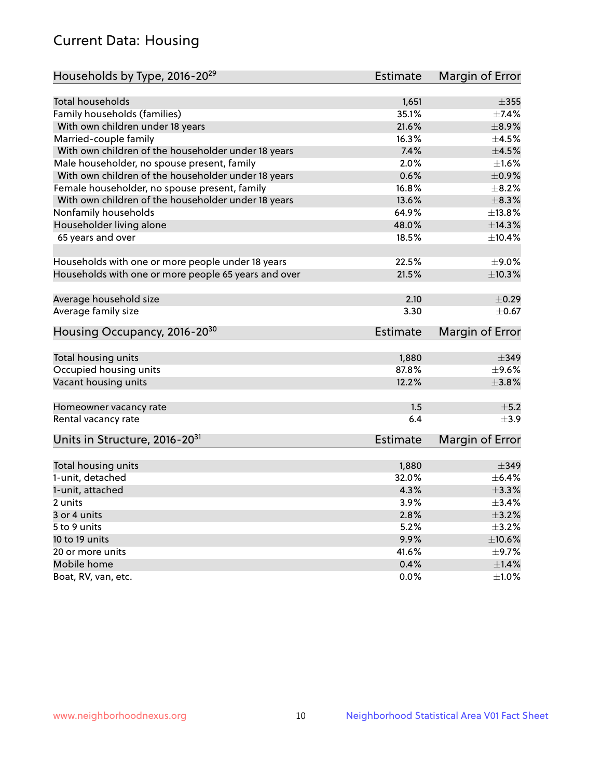## Current Data: Housing

| Households by Type, 2016-20 <sup>29</sup>            | <b>Estimate</b> | Margin of Error        |
|------------------------------------------------------|-----------------|------------------------|
|                                                      |                 |                        |
| <b>Total households</b>                              | 1,651           | $\pm 355$              |
| Family households (families)                         | 35.1%           | $\pm$ 7.4%             |
| With own children under 18 years                     | 21.6%           | ±8.9%                  |
| Married-couple family                                | 16.3%           | $\pm 4.5\%$            |
| With own children of the householder under 18 years  | 7.4%            | $\pm 4.5\%$            |
| Male householder, no spouse present, family          | 2.0%            | $\pm 1.6\%$            |
| With own children of the householder under 18 years  | 0.6%            | $\pm$ 0.9%             |
| Female householder, no spouse present, family        | 16.8%           | $\pm$ 8.2%             |
| With own children of the householder under 18 years  | 13.6%           | $\pm$ 8.3%             |
| Nonfamily households                                 | 64.9%           | ±13.8%                 |
| Householder living alone                             | 48.0%           | ±14.3%                 |
| 65 years and over                                    | 18.5%           | $\pm$ 10.4%            |
|                                                      |                 |                        |
| Households with one or more people under 18 years    | 22.5%           | $\pm$ 9.0%             |
| Households with one or more people 65 years and over | 21.5%           | ±10.3%                 |
|                                                      |                 |                        |
| Average household size                               | 2.10            | $\pm$ 0.29             |
| Average family size                                  | 3.30            | $\pm$ 0.67             |
| Housing Occupancy, 2016-20 <sup>30</sup>             | <b>Estimate</b> | <b>Margin of Error</b> |
|                                                      |                 |                        |
| Total housing units                                  | 1,880           | $\pm$ 349              |
| Occupied housing units                               | 87.8%           | $\pm$ 9.6%             |
| Vacant housing units                                 | 12.2%           | $\pm$ 3.8%             |
| Homeowner vacancy rate                               | 1.5             | ±5.2                   |
| Rental vacancy rate                                  | 6.4             | $\pm$ 3.9              |
| Units in Structure, 2016-20 <sup>31</sup>            | <b>Estimate</b> | <b>Margin of Error</b> |
|                                                      |                 |                        |
| Total housing units                                  | 1,880           | $\pm$ 349              |
| 1-unit, detached                                     | 32.0%           | $\pm$ 6.4%             |
| 1-unit, attached                                     | 4.3%            | ±3.3%                  |
| 2 units                                              | 3.9%            | $\pm$ 3.4%             |
| 3 or 4 units                                         | 2.8%            | $\pm$ 3.2%             |
| 5 to 9 units                                         | 5.2%            | $\pm$ 3.2%             |
| 10 to 19 units                                       | 9.9%            | $\pm 10.6\%$           |
| 20 or more units                                     | 41.6%           | $\pm$ 9.7%             |
| Mobile home                                          | 0.4%            | $\pm 1.4\%$            |
| Boat, RV, van, etc.                                  | 0.0%            | $\pm1.0\%$             |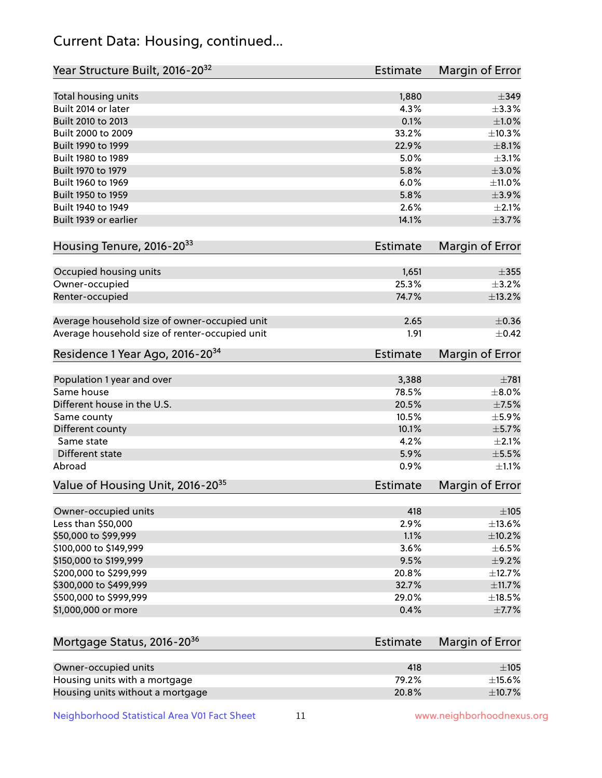## Current Data: Housing, continued...

| Year Structure Built, 2016-20 <sup>32</sup>    | Estimate        | <b>Margin of Error</b> |
|------------------------------------------------|-----------------|------------------------|
| Total housing units                            | 1,880           | $\pm$ 349              |
| Built 2014 or later                            | 4.3%            | ±3.3%                  |
| Built 2010 to 2013                             | 0.1%            | $\pm 1.0\%$            |
| Built 2000 to 2009                             | 33.2%           | ±10.3%                 |
| Built 1990 to 1999                             | 22.9%           | $\pm$ 8.1%             |
| Built 1980 to 1989                             | 5.0%            | $\pm$ 3.1%             |
| Built 1970 to 1979                             | 5.8%            | $\pm 3.0\%$            |
| Built 1960 to 1969                             | 6.0%            | $\pm$ 11.0%            |
| Built 1950 to 1959                             | 5.8%            | $\pm$ 3.9%             |
| Built 1940 to 1949                             | 2.6%            | $\pm 2.1\%$            |
| Built 1939 or earlier                          | 14.1%           | $\pm$ 3.7%             |
|                                                |                 |                        |
| Housing Tenure, 2016-2033                      | Estimate        | <b>Margin of Error</b> |
| Occupied housing units                         | 1,651           | $\pm$ 355              |
| Owner-occupied                                 | 25.3%           | ±3.2%                  |
| Renter-occupied                                | 74.7%           | ±13.2%                 |
| Average household size of owner-occupied unit  | 2.65            | $\pm$ 0.36             |
| Average household size of renter-occupied unit | 1.91            | $\pm$ 0.42             |
| Residence 1 Year Ago, 2016-20 <sup>34</sup>    | <b>Estimate</b> | <b>Margin of Error</b> |
|                                                |                 |                        |
| Population 1 year and over                     | 3,388           | $\pm 781$              |
| Same house                                     | 78.5%           | $\pm$ 8.0%             |
| Different house in the U.S.                    | 20.5%           | $\pm$ 7.5%             |
| Same county                                    | 10.5%           | $\pm$ 5.9%             |
| Different county                               | 10.1%           | $\pm$ 5.7%             |
| Same state                                     | 4.2%            | $\pm 2.1\%$            |
| Different state                                | 5.9%            | $\pm$ 5.5%             |
| Abroad                                         | 0.9%            | $\pm 1.1\%$            |
| Value of Housing Unit, 2016-20 <sup>35</sup>   | <b>Estimate</b> | Margin of Error        |
| Owner-occupied units                           | 418             | $\pm 105$              |
| Less than \$50,000                             | 2.9%            | ±13.6%                 |
| \$50,000 to \$99,999                           | 1.1%            | ±10.2%                 |
| \$100,000 to \$149,999                         | 3.6%            | $\pm$ 6.5%             |
| \$150,000 to \$199,999                         | 9.5%            | $\pm$ 9.2%             |
| \$200,000 to \$299,999                         | 20.8%           | ±12.7%                 |
| \$300,000 to \$499,999                         | 32.7%           | $\pm$ 11.7%            |
| \$500,000 to \$999,999                         | 29.0%           | $\pm$ 18.5%            |
| \$1,000,000 or more                            | 0.4%            | $\pm$ 7.7%             |
|                                                |                 |                        |
| Mortgage Status, 2016-20 <sup>36</sup>         | <b>Estimate</b> | Margin of Error        |
| Owner-occupied units                           | 418             | $\pm 105$              |
| Housing units with a mortgage                  | 79.2%           | $\pm$ 15.6%            |

Neighborhood Statistical Area V01 Fact Sheet 11 1 www.neighborhoodnexus.org

Housing units without a mortgage  $\pm 10.7\%$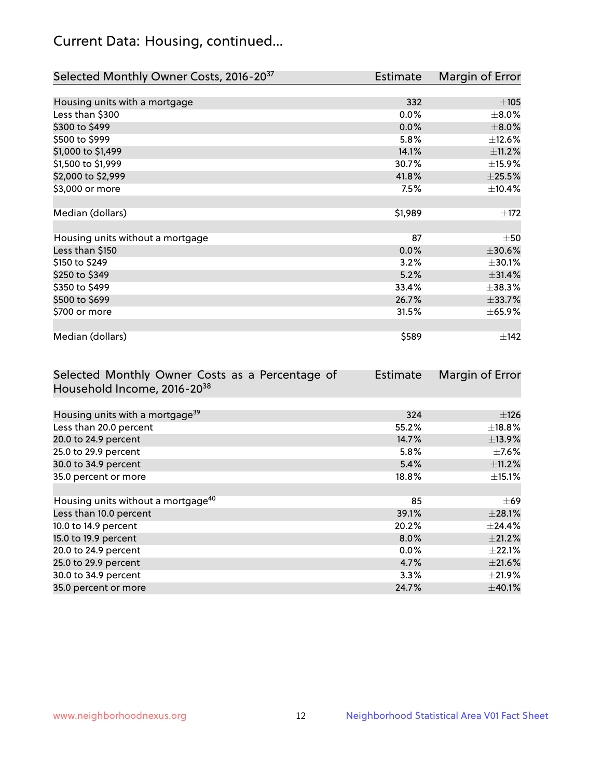## Current Data: Housing, continued...

| Selected Monthly Owner Costs, 2016-20 <sup>37</sup> | Estimate | Margin of Error |
|-----------------------------------------------------|----------|-----------------|
|                                                     |          |                 |
| Housing units with a mortgage                       | 332      | ±105            |
| Less than \$300                                     | 0.0%     | $\pm 8.0\%$     |
| \$300 to \$499                                      | 0.0%     | $\pm 8.0\%$     |
| \$500 to \$999                                      | 5.8%     | ±12.6%          |
| \$1,000 to \$1,499                                  | 14.1%    | ±11.2%          |
| \$1,500 to \$1,999                                  | 30.7%    | ±15.9%          |
| \$2,000 to \$2,999                                  | 41.8%    | $\pm 25.5\%$    |
| \$3,000 or more                                     | 7.5%     | ±10.4%          |
|                                                     |          |                 |
| Median (dollars)                                    | \$1,989  | ±172            |
|                                                     |          |                 |
| Housing units without a mortgage                    | 87       | $\pm$ 50        |
| Less than \$150                                     | 0.0%     | $\pm 30.6\%$    |
| \$150 to \$249                                      | 3.2%     | ±30.1%          |
| \$250 to \$349                                      | 5.2%     | ±31.4%          |
| \$350 to \$499                                      | 33.4%    | $\pm$ 38.3%     |
| \$500 to \$699                                      | 26.7%    | ±33.7%          |
| \$700 or more                                       | 31.5%    | ± 65.9%         |
|                                                     |          |                 |
| Median (dollars)                                    | \$589    | ±142            |

| Selected Monthly Owner Costs as a Percentage of | <b>Estimate</b> | Margin of Error |
|-------------------------------------------------|-----------------|-----------------|
| Household Income, 2016-20 <sup>38</sup>         |                 |                 |
|                                                 |                 |                 |
| Housing units with a mortgage <sup>39</sup>     | 324             | ±126            |
| Less than 20.0 percent                          | 55.2%           | $\pm$ 18.8%     |
| 20.0 to 24.9 percent                            | 14.7%           | ±13.9%          |
| 25.0 to 29.9 percent                            | 5.8%            | $\pm$ 7.6%      |
| 30.0 to 34.9 percent                            | 5.4%            | $\pm$ 11.2%     |
| 35.0 percent or more                            | 18.8%           | $\pm$ 15.1%     |
|                                                 |                 |                 |
| Housing units without a mortgage <sup>40</sup>  | 85              | $\pm 69$        |
| Less than 10.0 percent                          | 39.1%           | $\pm 28.1\%$    |
| 10.0 to 14.9 percent                            | 20.2%           | $\pm$ 24.4%     |
| 15.0 to 19.9 percent                            | $8.0\%$         | $\pm 21.2\%$    |
| 20.0 to 24.9 percent                            | $0.0\%$         | $\pm$ 22.1%     |
| 25.0 to 29.9 percent                            | 4.7%            | $\pm 21.6\%$    |
| 30.0 to 34.9 percent                            | 3.3%            | $\pm 21.9\%$    |
| 35.0 percent or more                            | 24.7%           | $\pm$ 40.1%     |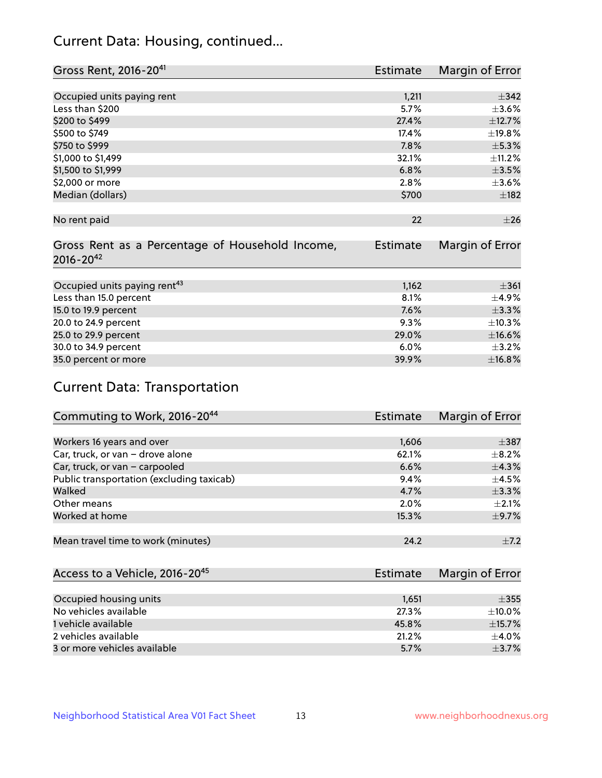## Current Data: Housing, continued...

| Gross Rent, 2016-20 <sup>41</sup>               | Estimate        | Margin of Error |
|-------------------------------------------------|-----------------|-----------------|
|                                                 |                 |                 |
| Occupied units paying rent                      | 1,211           | $\pm$ 342       |
| Less than \$200                                 | 5.7%            | $\pm 3.6\%$     |
| \$200 to \$499                                  | 27.4%           | ±12.7%          |
| \$500 to \$749                                  | 17.4%           | ±19.8%          |
| \$750 to \$999                                  | 7.8%            | $\pm$ 5.3%      |
| \$1,000 to \$1,499                              | 32.1%           | ±11.2%          |
| \$1,500 to \$1,999                              | 6.8%            | $\pm 3.5\%$     |
| \$2,000 or more                                 | 2.8%            | $\pm 3.6\%$     |
| Median (dollars)                                | \$700           | $\pm$ 182       |
|                                                 |                 |                 |
| No rent paid                                    | 22              | $\pm 26$        |
|                                                 |                 |                 |
| Gross Rent as a Percentage of Household Income, | <b>Estimate</b> | Margin of Error |
| $2016 - 20^{42}$                                |                 |                 |
|                                                 |                 |                 |
| Occupied units paying rent <sup>43</sup>        | 1,162           | $\pm$ 361       |
| Less than 15.0 percent                          | 8.1%            | $\pm$ 4.9%      |
| 15.0 to 19.9 percent                            | 7.6%            | ±3.3%           |
| 20.0 to 24.9 percent                            | 9.3%            | ±10.3%          |
| 25.0 to 29.9 percent                            | 29.0%           | $\pm$ 16.6%     |
| 30.0 to 34.9 percent                            | 6.0%            | $\pm$ 3.2%      |
| 35.0 percent or more                            | 39.9%           | ±16.8%          |

# Current Data: Transportation

| Commuting to Work, 2016-20 <sup>44</sup>  | <b>Estimate</b> | Margin of Error |
|-------------------------------------------|-----------------|-----------------|
|                                           |                 |                 |
| Workers 16 years and over                 | 1,606           | $\pm$ 387       |
| Car, truck, or van - drove alone          | 62.1%           | $\pm$ 8.2%      |
| Car, truck, or van - carpooled            | 6.6%            | $\pm$ 4.3%      |
| Public transportation (excluding taxicab) | 9.4%            | $\pm$ 4.5%      |
| Walked                                    | 4.7%            | $\pm$ 3.3%      |
| Other means                               | 2.0%            | $\pm 2.1\%$     |
| Worked at home                            | 15.3%           | $\pm$ 9.7%      |
|                                           |                 |                 |
| Mean travel time to work (minutes)        | 24.2            | $\pm$ 7.2       |

| Access to a Vehicle, 2016-20 <sup>45</sup> | Estimate | Margin of Error |
|--------------------------------------------|----------|-----------------|
|                                            |          |                 |
| Occupied housing units                     | 1,651    | $\pm 355$       |
| No vehicles available                      | 27.3%    | $\pm$ 10.0%     |
| 1 vehicle available                        | 45.8%    | $\pm$ 15.7%     |
| 2 vehicles available                       | 21.2%    | $+4.0%$         |
| 3 or more vehicles available               | 5.7%     | $+3.7%$         |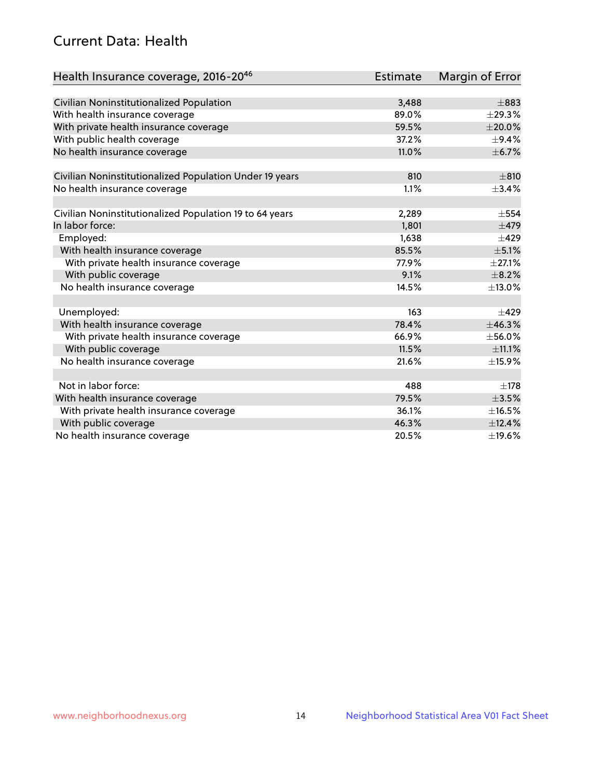## Current Data: Health

| Health Insurance coverage, 2016-2046                    | Estimate | Margin of Error |
|---------------------------------------------------------|----------|-----------------|
|                                                         |          |                 |
| Civilian Noninstitutionalized Population                | 3,488    | $\pm$ 883       |
| With health insurance coverage                          | 89.0%    | ±29.3%          |
| With private health insurance coverage                  | 59.5%    | $\pm 20.0\%$    |
| With public health coverage                             | 37.2%    | $\pm$ 9.4%      |
| No health insurance coverage                            | 11.0%    | $\pm$ 6.7%      |
| Civilian Noninstitutionalized Population Under 19 years | 810      | $\pm 810$       |
| No health insurance coverage                            | 1.1%     | $\pm$ 3.4%      |
|                                                         |          |                 |
| Civilian Noninstitutionalized Population 19 to 64 years | 2,289    | $\pm$ 554       |
| In labor force:                                         | 1,801    | $\pm$ 479       |
| Employed:                                               | 1,638    | $\pm 429$       |
| With health insurance coverage                          | 85.5%    | $\pm$ 5.1%      |
| With private health insurance coverage                  | 77.9%    | $\pm 27.1\%$    |
| With public coverage                                    | 9.1%     | $\pm$ 8.2%      |
| No health insurance coverage                            | 14.5%    | ±13.0%          |
|                                                         |          |                 |
| Unemployed:                                             | 163      | $\pm 429$       |
| With health insurance coverage                          | 78.4%    | ±46.3%          |
| With private health insurance coverage                  | 66.9%    | ±56.0%          |
| With public coverage                                    | 11.5%    | ±11.1%          |
| No health insurance coverage                            | 21.6%    | ±15.9%          |
|                                                         |          |                 |
| Not in labor force:                                     | 488      | $\pm$ 178       |
| With health insurance coverage                          | 79.5%    | $\pm 3.5\%$     |
| With private health insurance coverage                  | 36.1%    | ±16.5%          |
| With public coverage                                    | 46.3%    | ±12.4%          |
| No health insurance coverage                            | 20.5%    | ±19.6%          |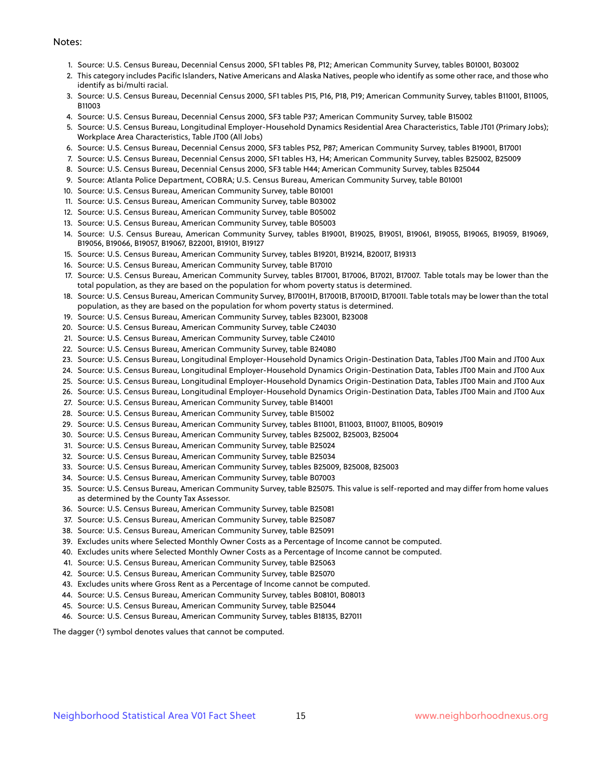#### Notes:

- 1. Source: U.S. Census Bureau, Decennial Census 2000, SF1 tables P8, P12; American Community Survey, tables B01001, B03002
- 2. This category includes Pacific Islanders, Native Americans and Alaska Natives, people who identify as some other race, and those who identify as bi/multi racial.
- 3. Source: U.S. Census Bureau, Decennial Census 2000, SF1 tables P15, P16, P18, P19; American Community Survey, tables B11001, B11005, B11003
- 4. Source: U.S. Census Bureau, Decennial Census 2000, SF3 table P37; American Community Survey, table B15002
- 5. Source: U.S. Census Bureau, Longitudinal Employer-Household Dynamics Residential Area Characteristics, Table JT01 (Primary Jobs); Workplace Area Characteristics, Table JT00 (All Jobs)
- 6. Source: U.S. Census Bureau, Decennial Census 2000, SF3 tables P52, P87; American Community Survey, tables B19001, B17001
- 7. Source: U.S. Census Bureau, Decennial Census 2000, SF1 tables H3, H4; American Community Survey, tables B25002, B25009
- 8. Source: U.S. Census Bureau, Decennial Census 2000, SF3 table H44; American Community Survey, tables B25044
- 9. Source: Atlanta Police Department, COBRA; U.S. Census Bureau, American Community Survey, table B01001
- 10. Source: U.S. Census Bureau, American Community Survey, table B01001
- 11. Source: U.S. Census Bureau, American Community Survey, table B03002
- 12. Source: U.S. Census Bureau, American Community Survey, table B05002
- 13. Source: U.S. Census Bureau, American Community Survey, table B05003
- 14. Source: U.S. Census Bureau, American Community Survey, tables B19001, B19025, B19051, B19061, B19055, B19065, B19059, B19069, B19056, B19066, B19057, B19067, B22001, B19101, B19127
- 15. Source: U.S. Census Bureau, American Community Survey, tables B19201, B19214, B20017, B19313
- 16. Source: U.S. Census Bureau, American Community Survey, table B17010
- 17. Source: U.S. Census Bureau, American Community Survey, tables B17001, B17006, B17021, B17007. Table totals may be lower than the total population, as they are based on the population for whom poverty status is determined.
- 18. Source: U.S. Census Bureau, American Community Survey, B17001H, B17001B, B17001D, B17001I. Table totals may be lower than the total population, as they are based on the population for whom poverty status is determined.
- 19. Source: U.S. Census Bureau, American Community Survey, tables B23001, B23008
- 20. Source: U.S. Census Bureau, American Community Survey, table C24030
- 21. Source: U.S. Census Bureau, American Community Survey, table C24010
- 22. Source: U.S. Census Bureau, American Community Survey, table B24080
- 23. Source: U.S. Census Bureau, Longitudinal Employer-Household Dynamics Origin-Destination Data, Tables JT00 Main and JT00 Aux
- 24. Source: U.S. Census Bureau, Longitudinal Employer-Household Dynamics Origin-Destination Data, Tables JT00 Main and JT00 Aux
- 25. Source: U.S. Census Bureau, Longitudinal Employer-Household Dynamics Origin-Destination Data, Tables JT00 Main and JT00 Aux
- 26. Source: U.S. Census Bureau, Longitudinal Employer-Household Dynamics Origin-Destination Data, Tables JT00 Main and JT00 Aux
- 27. Source: U.S. Census Bureau, American Community Survey, table B14001
- 28. Source: U.S. Census Bureau, American Community Survey, table B15002
- 29. Source: U.S. Census Bureau, American Community Survey, tables B11001, B11003, B11007, B11005, B09019
- 30. Source: U.S. Census Bureau, American Community Survey, tables B25002, B25003, B25004
- 31. Source: U.S. Census Bureau, American Community Survey, table B25024
- 32. Source: U.S. Census Bureau, American Community Survey, table B25034
- 33. Source: U.S. Census Bureau, American Community Survey, tables B25009, B25008, B25003
- 34. Source: U.S. Census Bureau, American Community Survey, table B07003
- 35. Source: U.S. Census Bureau, American Community Survey, table B25075. This value is self-reported and may differ from home values as determined by the County Tax Assessor.
- 36. Source: U.S. Census Bureau, American Community Survey, table B25081
- 37. Source: U.S. Census Bureau, American Community Survey, table B25087
- 38. Source: U.S. Census Bureau, American Community Survey, table B25091
- 39. Excludes units where Selected Monthly Owner Costs as a Percentage of Income cannot be computed.
- 40. Excludes units where Selected Monthly Owner Costs as a Percentage of Income cannot be computed.
- 41. Source: U.S. Census Bureau, American Community Survey, table B25063
- 42. Source: U.S. Census Bureau, American Community Survey, table B25070
- 43. Excludes units where Gross Rent as a Percentage of Income cannot be computed.
- 44. Source: U.S. Census Bureau, American Community Survey, tables B08101, B08013
- 45. Source: U.S. Census Bureau, American Community Survey, table B25044
- 46. Source: U.S. Census Bureau, American Community Survey, tables B18135, B27011

The dagger (†) symbol denotes values that cannot be computed.